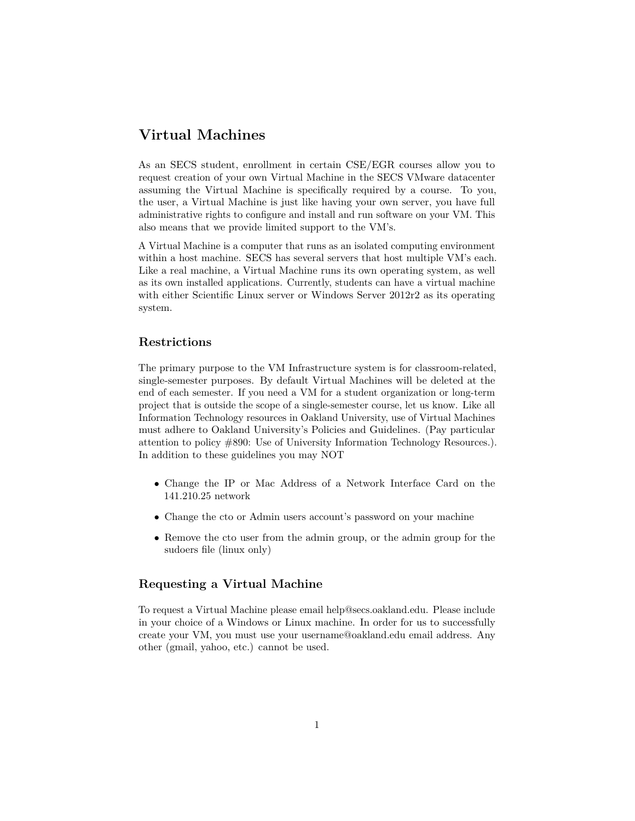# **Virtual Machines**

As an SECS student, enrollment in certain CSE/EGR courses allow you to request creation of your own Virtual Machine in the SECS VMware datacenter assuming the Virtual Machine is specifically required by a course. To you, the user, a Virtual Machine is just like having your own server, you have full administrative rights to configure and install and run software on your VM. This also means that we provide limited support to the VM's.

A Virtual Machine is a computer that runs as an isolated computing environment within a host machine. SECS has several servers that host multiple VM's each. Like a real machine, a Virtual Machine runs its own operating system, as well as its own installed applications. Currently, students can have a virtual machine with either Scientific Linux server or Windows Server 2012r2 as its operating system.

# **Restrictions**

The primary purpose to the VM Infrastructure system is for classroom-related, single-semester purposes. By default Virtual Machines will be deleted at the end of each semester. If you need a VM for a student organization or long-term project that is outside the scope of a single-semester course, let us know. Like all Information Technology resources in Oakland University, use of Virtual Machines must adhere to Oakland University's Policies and Guidelines. (Pay particular attention to policy #890: Use of University Information Technology Resources.). In addition to these guidelines you may NOT

- *•* Change the IP or Mac Address of a Network Interface Card on the 141.210.25 network
- Change the cto or Admin users account's password on your machine
- *•* Remove the cto user from the admin group, or the admin group for the sudoers file (linux only)

# **Requesting a Virtual Machine**

To request a Virtual Machine please email help@secs.oakland.edu. Please include in your choice of a Windows or Linux machine. In order for us to successfully create your VM, you must use your username@oakland.edu email address. Any other (gmail, yahoo, etc.) cannot be used.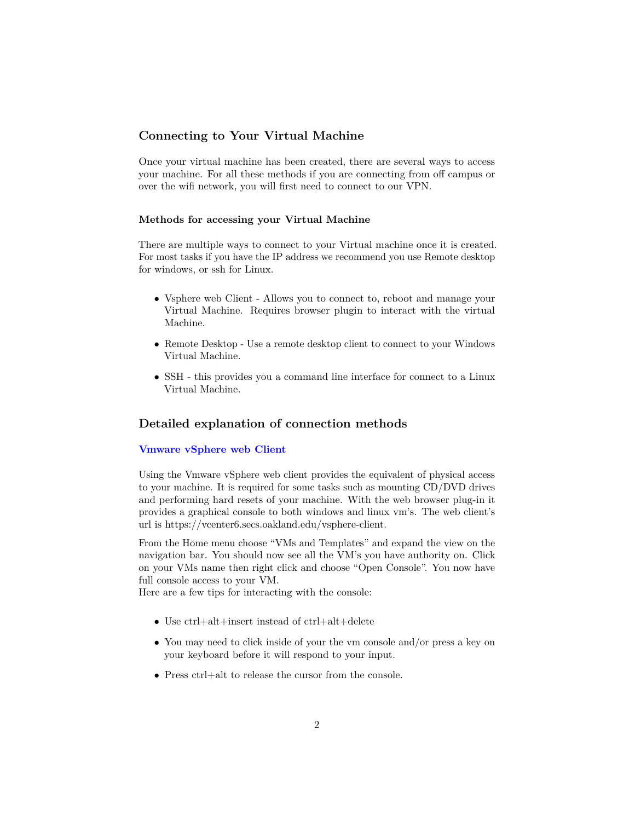# **Connecting to Your Virtual Machine**

Once your virtual machine has been created, there are several ways to access your machine. For all these methods if you are connecting from off campus or over the wifi network, you will first need to connect to our VPN.

#### **Methods for accessing your Virtual Machine**

There are multiple ways to connect to your Virtual machine once it is created. For most tasks if you have the IP address we recommend you use Remote desktop for windows, or ssh for Linux.

- Vsphere web Client Allows you to connect to, reboot and manage your Virtual Machine. Requires browser plugin to interact with the virtual Machine.
- Remote Desktop Use a remote desktop client to connect to your Windows Virtual Machine.
- *•* SSH this provides you a command line interface for connect to a Linux Virtual Machine.

## **Detailed explanation of connection methods**

#### **[Vmware vSphere web Client](https://vcenter6.secs.oakland.edu/vsphere-client)**

Using the Vmware vSphere web client provides the equivalent of physical access to your machine. It is required for some tasks such as mounting CD/DVD drives and performing hard resets of your machine. With the web browser plug-in it provides a graphical console to both windows and linux vm's. The web client's url is https://vcenter6.secs.oakland.edu/vsphere-client.

From the Home menu choose "VMs and Templates" and expand the view on the navigation bar. You should now see all the VM's you have authority on. Click on your VMs name then right click and choose "Open Console". You now have full console access to your VM.

Here are a few tips for interacting with the console:

- *•* Use ctrl+alt+insert instead of ctrl+alt+delete
- You may need to click inside of your the vm console and/or press a key on your keyboard before it will respond to your input.
- *•* Press ctrl+alt to release the cursor from the console.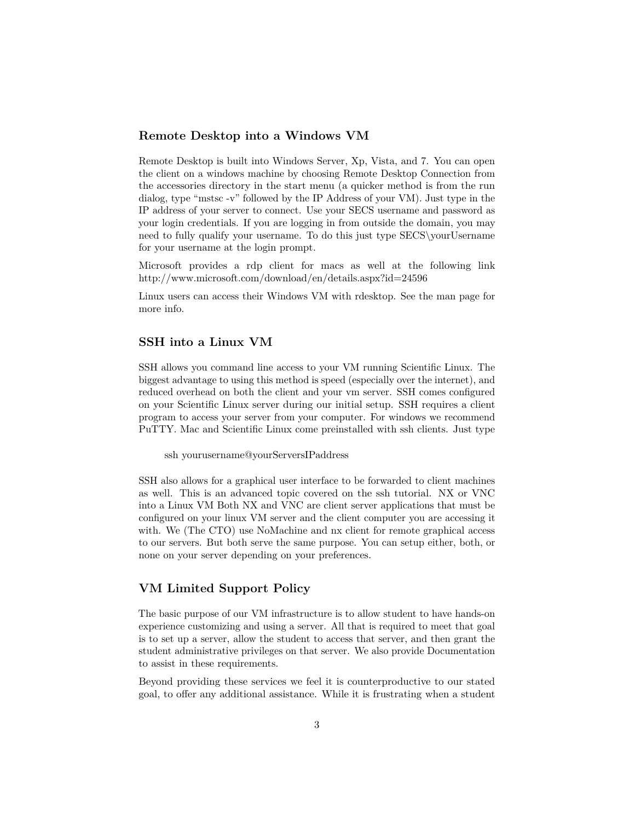#### **Remote Desktop into a Windows VM**

Remote Desktop is built into Windows Server, Xp, Vista, and 7. You can open the client on a windows machine by choosing Remote Desktop Connection from the accessories directory in the start menu (a quicker method is from the run dialog, type "mstsc -v" followed by the IP Address of your VM). Just type in the IP address of your server to connect. Use your SECS username and password as your login credentials. If you are logging in from outside the domain, you may need to fully qualify your username. To do this just type SECS\yourUsername for your username at the login prompt.

Microsoft provides a rdp client for macs as well at the following link http://www.microsoft.com/download/en/details.aspx?id=24596

Linux users can access their Windows VM with rdesktop. See the man page for more info.

## **SSH into a Linux VM**

SSH allows you command line access to your VM running Scientific Linux. The biggest advantage to using this method is speed (especially over the internet), and reduced overhead on both the client and your vm server. SSH comes configured on your Scientific Linux server during our initial setup. SSH requires a client program to access your server from your computer. For windows we recommend PuTTY. Mac and Scientific Linux come preinstalled with ssh clients. Just type

ssh yourusername@yourServersIPaddress

SSH also allows for a graphical user interface to be forwarded to client machines as well. This is an advanced topic covered on the ssh tutorial. NX or VNC into a Linux VM Both NX and VNC are client server applications that must be configured on your linux VM server and the client computer you are accessing it with. We (The CTO) use NoMachine and nx client for remote graphical access to our servers. But both serve the same purpose. You can setup either, both, or none on your server depending on your preferences.

# **VM Limited Support Policy**

The basic purpose of our VM infrastructure is to allow student to have hands-on experience customizing and using a server. All that is required to meet that goal is to set up a server, allow the student to access that server, and then grant the student administrative privileges on that server. We also provide Documentation to assist in these requirements.

Beyond providing these services we feel it is counterproductive to our stated goal, to offer any additional assistance. While it is frustrating when a student